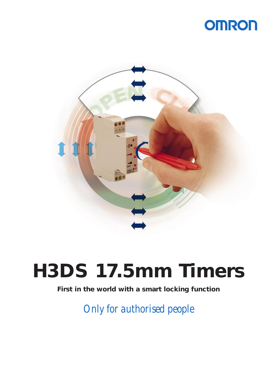### **OMRON**



## **H3DS 17.5mm Timers**

### **First in the world with a smart locking function**

*Only for authorised people*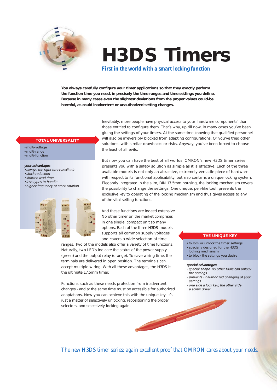

# **H3DS Timers**

*First in the world with a smart locking function*

**You always carefully configure your timer applications so that they exactly perform the function time you need, in precisely the time ranges and time settings you define. Because in many cases even the slightest deviations from the proper values could-be harmful, as could inadvertent or unauthorized setting changes.**

#### **TOTAL UNIVERSALITY**

- multi-voltage
- multi-range
- multi-function

#### **your advantages**

- always the right timer available
- stock reduction
- shorten lead time
- less types to handle
- higher frequency of stock rotation



Inevitably, more people have physical access to your 'hardware components' than those entitled to configure them. That's why, up till now, in many cases you've been gluing the settings of your timers. At the same time knowing that qualified personnel will also be irreversibly blocked from adapting configurations. Or you've tried other solutions, with similar drawbacks or risks. Anyway, you've been forced to choose the least of all evils.

But now you can have the best of all worlds. OMRON's new H3DS timer series presents you with a safety solution as simple as it is effective. Each of the three available models is not only an attractive, extremely versatile piece of hardware with respect to its functional applicability, but also contains a unique locking system. Elegantly integrated in the slim, DIN 17.5mm housing, the locking mechanism covers the possibility to change the settings. One unique, pen-like tool, presents the exclusive key to operating of the locking mechanism and thus gives access to any of the vital setting functions.

And these functions are indeed extensive. No other timer on the market comprises in one single, compact unit so many options. Each of the three H3DS models supports all common supply voltages and covers a wide selection of time

ranges. Two of the models also offer a variety of time functions. Naturally, two LED's indicate the status of the power supply (green) and the output relay (orange). To save wiring time, the terminals are delivered in open position. The terminals can accept multiple wiring. With all these advantages, the H3DS is the ultimate 17.5mm timer.

Functions such as these needs protection from inadvertent changes - and at the same time must be accessible for authorized adaptations. Now you can achieve this with the unique key, it's just a matter of selectively unlocking, repositioning the proper<br>selectors, and selectively locking again. selectors, and selectively locking again.

#### **THE UNIQUE KEY**

- to lock or unlock the timer settings
- specially designed for the H3DS
- locking mechanism • to block the settings you desire

#### **special advantages**

- special shape, no other tools can unlock the settings
- prevents unauthorized changing of your settings
- one side a lock key, the other side a screw driver

*The new H3DS timer series: again excellent proof that OMRON cares about your needs.*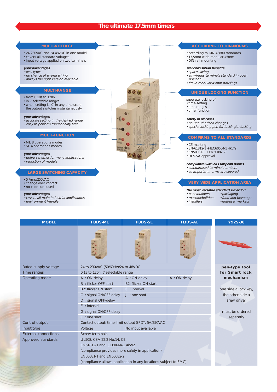#### **The ultimate 17.5mm timers**



| <b>MODEL</b>                | H3DS-ML                                                                                    | H3DS-SL              | H3DS-AL      | Y92S-38              |
|-----------------------------|--------------------------------------------------------------------------------------------|----------------------|--------------|----------------------|
|                             |                                                                                            |                      |              |                      |
| Rated supply voltage        | 24 to 230VAC (50/60Hz)/24 to 48VDC                                                         |                      |              | pen-type tool        |
| Time ranges                 | 0.1s to 120h, 7 selectable range                                                           |                      |              | for Smart lock       |
| Operating mode              | A : ON-delay                                                                               | A : ON-delay         | A : ON-delay | mechanism            |
|                             | B: flicker OFF start                                                                       | B2: flicker ON start |              |                      |
|                             | B2: flicker ON start                                                                       | $E$ : interval       |              | one side a lock key, |
|                             | C: signal ON/OFF-delay                                                                     | $J :$ one shot       |              | the other side a     |
|                             | D: signal OFF-delay                                                                        |                      |              | srew driver          |
|                             | $E$ : interval                                                                             |                      |              |                      |
|                             | G: signal ON/OFF-delay                                                                     |                      |              | must be ordered      |
|                             | $J$ : one shot                                                                             |                      |              | seperatly            |
| Control output              | Contact output: time-limit output SPDT, 5A/250VAC                                          |                      |              |                      |
| Input type                  | Voltage                                                                                    | No input available   |              |                      |
| <b>External connections</b> | <b>Screw terminals</b>                                                                     |                      |              |                      |
| Approved standards          | UL508, CSA 22.2 No.14, CE                                                                  |                      |              |                      |
|                             | EN61812-1 and IEC60664-1 4kV/2                                                             |                      |              |                      |
|                             | (compliance provides more safety in application)                                           |                      |              |                      |
|                             | EN50081-1 and EN50082-2<br>(compliance allows application in any locations subject to EMC) |                      |              |                      |
|                             |                                                                                            |                      |              |                      |